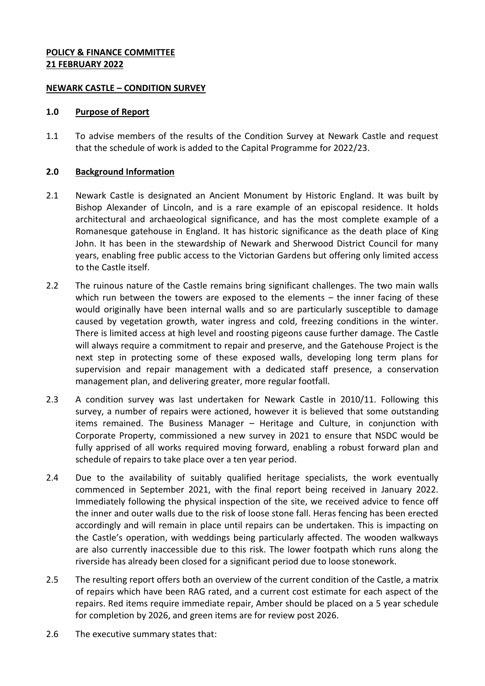### **POLICY & FINANCE COMMITTEE 21 FEBRUARY 2022**

### **NEWARK CASTLE – CONDITION SURVEY**

### **1.0 Purpose of Report**

1.1 To advise members of the results of the Condition Survey at Newark Castle and request that the schedule of work is added to the Capital Programme for 2022/23.

### **2.0 Background Information**

- 2.1 Newark Castle is designated an Ancient Monument by Historic England. It was built by Bishop Alexander of Lincoln, and is a rare example of an episcopal residence. It holds architectural and archaeological significance, and has the most complete example of a Romanesque gatehouse in England. It has historic significance as the death place of King John. It has been in the stewardship of Newark and Sherwood District Council for many years, enabling free public access to the Victorian Gardens but offering only limited access to the Castle itself.
- 2.2 The ruinous nature of the Castle remains bring significant challenges. The two main walls which run between the towers are exposed to the elements – the inner facing of these would originally have been internal walls and so are particularly susceptible to damage caused by vegetation growth, water ingress and cold, freezing conditions in the winter. There is limited access at high level and roosting pigeons cause further damage. The Castle will always require a commitment to repair and preserve, and the Gatehouse Project is the next step in protecting some of these exposed walls, developing long term plans for supervision and repair management with a dedicated staff presence, a conservation management plan, and delivering greater, more regular footfall.
- 2.3 A condition survey was last undertaken for Newark Castle in 2010/11. Following this survey, a number of repairs were actioned, however it is believed that some outstanding items remained. The Business Manager – Heritage and Culture, in conjunction with Corporate Property, commissioned a new survey in 2021 to ensure that NSDC would be fully apprised of all works required moving forward, enabling a robust forward plan and schedule of repairs to take place over a ten year period.
- 2.4 Due to the availability of suitably qualified heritage specialists, the work eventually commenced in September 2021, with the final report being received in January 2022. Immediately following the physical inspection of the site, we received advice to fence off the inner and outer walls due to the risk of loose stone fall. Heras fencing has been erected accordingly and will remain in place until repairs can be undertaken. This is impacting on the Castle's operation, with weddings being particularly affected. The wooden walkways are also currently inaccessible due to this risk. The lower footpath which runs along the riverside has already been closed for a significant period due to loose stonework.
- 2.5 The resulting report offers both an overview of the current condition of the Castle, a matrix of repairs which have been RAG rated, and a current cost estimate for each aspect of the repairs. Red items require immediate repair, Amber should be placed on a 5 year schedule for completion by 2026, and green items are for review post 2026.
- 2.6 The executive summary states that: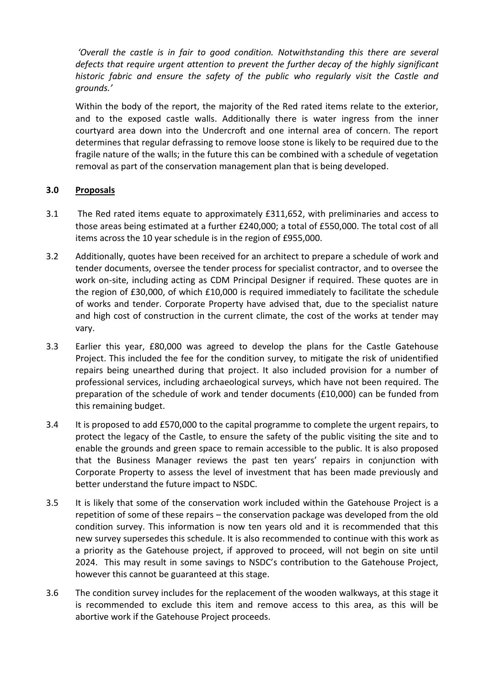*'Overall the castle is in fair to good condition. Notwithstanding this there are several defects that require urgent attention to prevent the further decay of the highly significant historic fabric and ensure the safety of the public who regularly visit the Castle and grounds.'*

Within the body of the report, the majority of the Red rated items relate to the exterior, and to the exposed castle walls. Additionally there is water ingress from the inner courtyard area down into the Undercroft and one internal area of concern. The report determines that regular defrassing to remove loose stone is likely to be required due to the fragile nature of the walls; in the future this can be combined with a schedule of vegetation removal as part of the conservation management plan that is being developed.

# **3.0 Proposals**

- 3.1 The Red rated items equate to approximately £311,652, with preliminaries and access to those areas being estimated at a further £240,000; a total of £550,000. The total cost of all items across the 10 year schedule is in the region of £955,000.
- 3.2 Additionally, quotes have been received for an architect to prepare a schedule of work and tender documents, oversee the tender process for specialist contractor, and to oversee the work on-site, including acting as CDM Principal Designer if required. These quotes are in the region of £30,000, of which £10,000 is required immediately to facilitate the schedule of works and tender. Corporate Property have advised that, due to the specialist nature and high cost of construction in the current climate, the cost of the works at tender may vary.
- 3.3 Earlier this year, £80,000 was agreed to develop the plans for the Castle Gatehouse Project. This included the fee for the condition survey, to mitigate the risk of unidentified repairs being unearthed during that project. It also included provision for a number of professional services, including archaeological surveys, which have not been required. The preparation of the schedule of work and tender documents (£10,000) can be funded from this remaining budget.
- 3.4 It is proposed to add £570,000 to the capital programme to complete the urgent repairs, to protect the legacy of the Castle, to ensure the safety of the public visiting the site and to enable the grounds and green space to remain accessible to the public. It is also proposed that the Business Manager reviews the past ten years' repairs in conjunction with Corporate Property to assess the level of investment that has been made previously and better understand the future impact to NSDC.
- 3.5 It is likely that some of the conservation work included within the Gatehouse Project is a repetition of some of these repairs – the conservation package was developed from the old condition survey. This information is now ten years old and it is recommended that this new survey supersedes this schedule. It is also recommended to continue with this work as a priority as the Gatehouse project, if approved to proceed, will not begin on site until 2024. This may result in some savings to NSDC's contribution to the Gatehouse Project, however this cannot be guaranteed at this stage.
- 3.6 The condition survey includes for the replacement of the wooden walkways, at this stage it is recommended to exclude this item and remove access to this area, as this will be abortive work if the Gatehouse Project proceeds.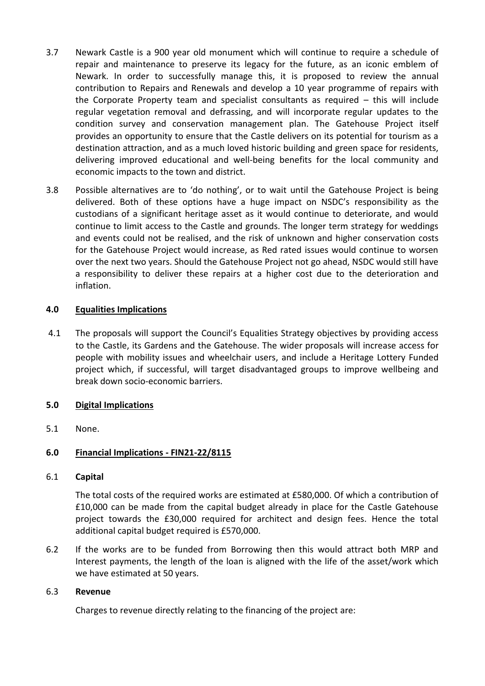- 3.7 Newark Castle is a 900 year old monument which will continue to require a schedule of repair and maintenance to preserve its legacy for the future, as an iconic emblem of Newark. In order to successfully manage this, it is proposed to review the annual contribution to Repairs and Renewals and develop a 10 year programme of repairs with the Corporate Property team and specialist consultants as required – this will include regular vegetation removal and defrassing, and will incorporate regular updates to the condition survey and conservation management plan. The Gatehouse Project itself provides an opportunity to ensure that the Castle delivers on its potential for tourism as a destination attraction, and as a much loved historic building and green space for residents, delivering improved educational and well-being benefits for the local community and economic impacts to the town and district.
- 3.8 Possible alternatives are to 'do nothing', or to wait until the Gatehouse Project is being delivered. Both of these options have a huge impact on NSDC's responsibility as the custodians of a significant heritage asset as it would continue to deteriorate, and would continue to limit access to the Castle and grounds. The longer term strategy for weddings and events could not be realised, and the risk of unknown and higher conservation costs for the Gatehouse Project would increase, as Red rated issues would continue to worsen over the next two years. Should the Gatehouse Project not go ahead, NSDC would still have a responsibility to deliver these repairs at a higher cost due to the deterioration and inflation.

# **4.0 Equalities Implications**

4.1 The proposals will support the Council's Equalities Strategy objectives by providing access to the Castle, its Gardens and the Gatehouse. The wider proposals will increase access for people with mobility issues and wheelchair users, and include a Heritage Lottery Funded project which, if successful, will target disadvantaged groups to improve wellbeing and break down socio-economic barriers.

# **5.0 Digital Implications**

5.1 None.

# **6.0 Financial Implications - FIN21-22/8115**

### 6.1 **Capital**

The total costs of the required works are estimated at £580,000. Of which a contribution of £10,000 can be made from the capital budget already in place for the Castle Gatehouse project towards the £30,000 required for architect and design fees. Hence the total additional capital budget required is £570,000.

6.2 If the works are to be funded from Borrowing then this would attract both MRP and Interest payments, the length of the loan is aligned with the life of the asset/work which we have estimated at 50 years.

### 6.3 **Revenue**

Charges to revenue directly relating to the financing of the project are: